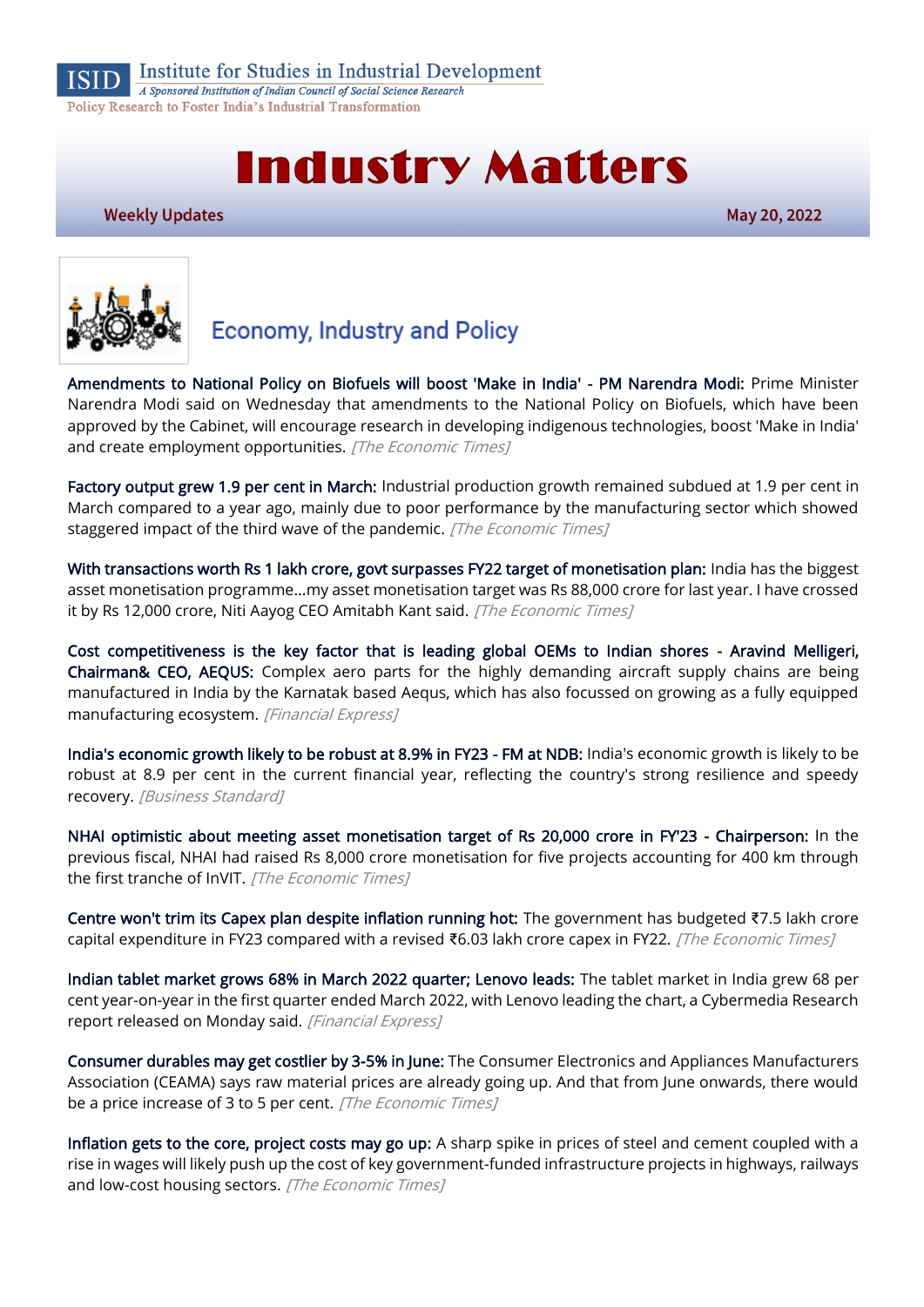

# **Industry Matters**

**Weekly Updates** 

May 20, 2022



# **Economy, Industry and Policy**

[Amendments to National Policy on Biofuels will boost 'Make in India' - PM Narendra Modi:](https://economictimes.indiatimes.com/news/india/amendments-to-national-policy-on-biofuels-will-boost-make-in-india-pm-narendra-modi/articleshow/91648798.cms) Prime Minister Narendra Modi said on Wednesday that amendments to the National Policy on Biofuels, which have been approved by the Cabinet, will encourage research in developing indigenous technologies, boost 'Make in India' and create employment opportunities. [The Economic Times]

[Factory output grew 1.9 per cent in March:](https://economictimes.indiatimes.com/news/economy/indicators/factory-output-grew-1-9-per-cent-in-march/articleshow/91518924.cms) Industrial production growth remained subdued at 1.9 per cent in March compared to a year ago, mainly due to poor performance by the manufacturing sector which showed staggered impact of the third wave of the pandemic. [The Economic Times]

[With transactions worth Rs 1 lakh crore, govt surpasses FY22 target of monetisation plan:](https://economictimes.indiatimes.com/news/economy/finance/with-transactions-worth-rs-1-lakh-crore-govt-surpasses-fy22-target-of-monetisation-plan/articleshow/91619951.cms) India has the biggest asset monetisation programme...my asset monetisation target was Rs 88,000 crore for last year. I have crossed it by Rs 12,000 crore, Niti Aayog CEO Amitabh Kant said. [The Economic Times]

[Cost competitiveness is the key factor that is leading global OEMs to Indian shores - Aravind Melligeri,](https://www.financialexpress.com/defence/cost-competitiveness-is-the-key-factor-that-is-leading-global-oems-to-indian-shores-aravind-melligeri-chairman-ceo-aequs/2527503/)  [Chairman& CEO, AEQUS:](https://www.financialexpress.com/defence/cost-competitiveness-is-the-key-factor-that-is-leading-global-oems-to-indian-shores-aravind-melligeri-chairman-ceo-aequs/2527503/) Complex aero parts for the highly demanding aircraft supply chains are being manufactured in India by the Karnatak based Aequs, which has also focussed on growing as a fully equipped manufacturing ecosystem. [Financial Express]

[India's economic growth likely to be robust at 8.9% in FY23 - FM at NDB:](https://www.business-standard.com/article/economy-policy/india-s-economic-growth-likely-to-be-robust-at-8-9-in-fy23-fm-at-ndb-122051901645_1.html) India's economic growth is likely to be robust at 8.9 per cent in the current financial year, reflecting the country's strong resilience and speedy recovery. [Business Standard]

[NHAI optimistic about meeting asset monetisation target of Rs 20,000 crore in FY'23 - Chairperson:](https://economictimes.indiatimes.com/news/economy/finance/nhai-optimistic-about-meeting-asset-monetisation-target-of-rs-20000-crore-in-fy23-chairperson/articleshow/91636868.cms) In the previous fiscal, NHAI had raised Rs 8,000 crore monetisation for five projects accounting for 400 km through the first tranche of InVIT. [The Economic Times]

[Centre won't trim its Capex plan despite inflation running hot:](https://economictimes.indiatimes.com/news/economy/finance/centre-wont-trim-its-capex-plan-despite-inflation-running-hot/articleshow/91651659.cms) The government has budgeted ₹7.5 lakh crore capital expenditure in FY23 compared with a revised ₹6.03 lakh crore capex in FY22. [The Economic Times]

[Indian tablet market grows 68% in March 2022 quarter; Lenovo leads:](https://www.financialexpress.com/industry/technology/indian-tablet-market-grows-68-in-march-2022-quarter-lenovo-leads/2526893/) The tablet market in India grew 68 per cent year-on-year in the first quarter ended March 2022, with Lenovo leading the chart, a Cybermedia Research report released on Monday said. [Financial Express]

[Consumer durables may get costlier by 3-5% in June:](https://economictimes.indiatimes.com/industry/cons-products/durables/consumer-durables-may-get-costlier-by-3-5-in-june/prices-may-go-up/slideshow/91561698.cms) The Consumer Electronics and Appliances Manufacturers Association (CEAMA) says raw material prices are already going up. And that from June onwards, there would be a price increase of 3 to 5 per cent. [The Economic Times]

[Inflation gets to the core, project costs may go up:](https://economictimes.indiatimes.com/news/economy/indicators/inflation-gets-to-the-core-project-costs-may-go-up/articleshow/91604103.cms) A sharp spike in prices of steel and cement coupled with a rise in wages will likely push up the cost of key government-funded infrastructure projects in highways, railways and low-cost housing sectors. [The Economic Times]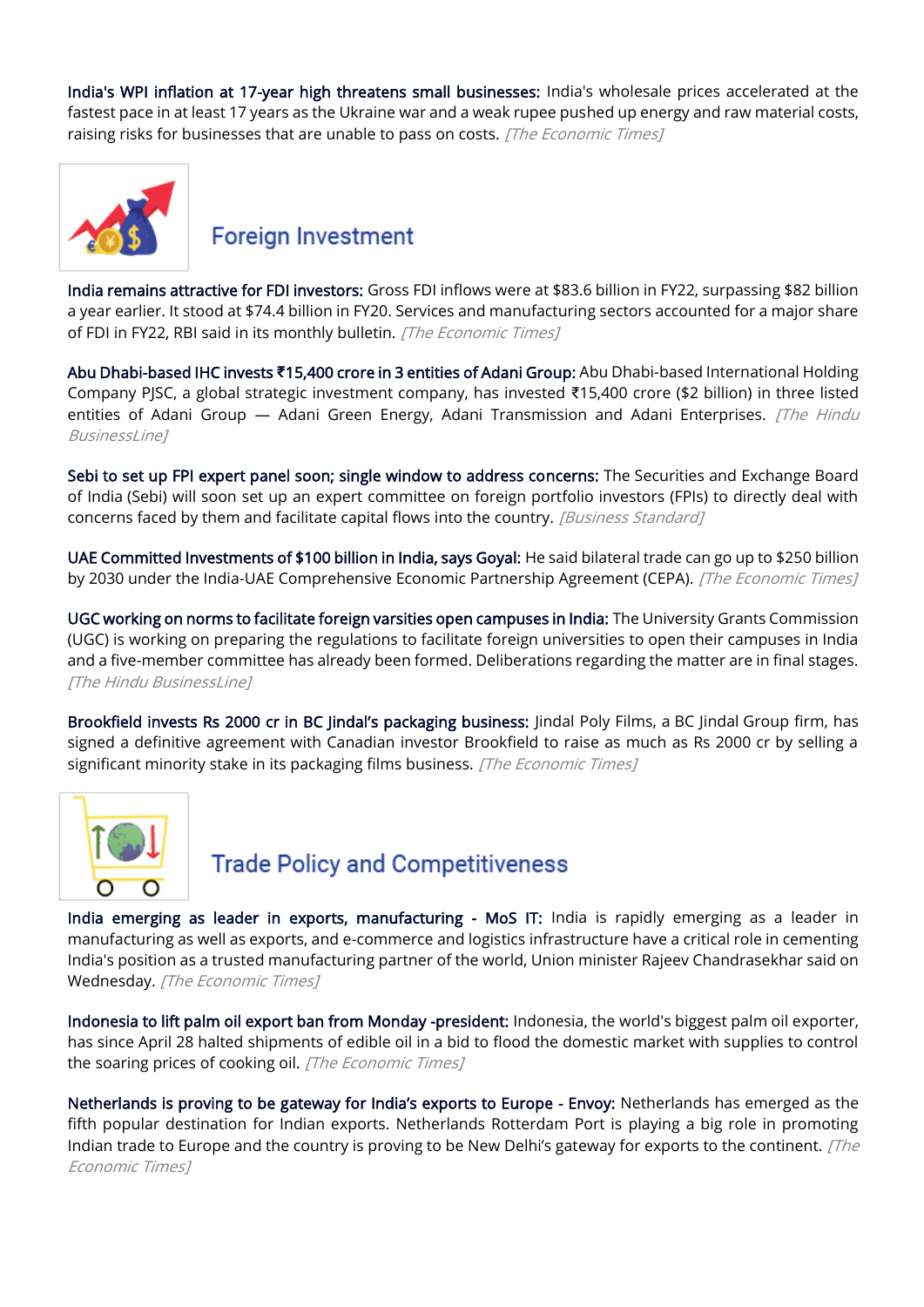[India's WPI inflation at 17-year high threatens small businesses:](https://economictimes.indiatimes.com/small-biz/sme-sector/indias-wpi-inflation-at-17-year-high-threatens-small-businesses/articleshow/91619848.cms) India's wholesale prices accelerated at the fastest pace in at least 17 years as the Ukraine war and a weak rupee pushed up energy and raw material costs, raising risks for businesses that are unable to pass on costs. [The Economic Times]



#### **Foreign Investment**

[India remains attractive for FDI investors:](https://economictimes.indiatimes.com/news/economy/finance/india-remains-attractive-for-fdi-investors/articleshow/91648995.cms) Gross FDI inflows were at \$83.6 billion in FY22, surpassing \$82 billion a year earlier. It stood at \$74.4 billion in FY20. Services and manufacturing sectors accounted for a major share of FDI in FY22, RBI said in its monthly bulletin. [The Economic Times]

Abu Dhabi-based IHC invests **₹**[15,400 crore in 3 entities of Adani Group:](https://www.thehindubusinessline.com/companies/ihc-invests-15400-crore-in-3-listed-entities-of-adani-group/article65422067.ece) Abu Dhabi-based International Holding Company PJSC, a global strategic investment company, has invested ₹15,400 crore (\$2 billion) in three listed entities of Adani Group - Adani Green Energy, Adani Transmission and Adani Enterprises. [The Hindu BusinessI inel

[Sebi to set up FPI expert panel soon; single window to address concerns:](https://www.business-standard.com/article/markets/sebi-to-set-up-fpi-expert-panel-soon-single-window-to-address-concerns-122051600023_1.html) The Securities and Exchange Board of India (Sebi) will soon set up an expert committee on foreign portfolio investors (FPIs) to directly deal with concerns faced by them and facilitate capital flows into the country. [Business Standard]

[UAE Committed Investments of \\$100 billion in India, says Goyal:](https://economictimes.indiatimes.com/news/india/uae-committed-investments-of-100-billion-in-india-says-goyal/articleshow/91549636.cms) He said bilateral trade can go up to \$250 billion by 2030 under the India-UAE Comprehensive Economic Partnership Agreement (CEPA). [The Economic Times]

[UGC working on norms to facilitate foreign varsities open campuses in India:](https://www.thehindubusinessline.com/news/education/ugc-working-on-norms-to-facilitate-foreign-varsities-open-campuses-in-india/article65420081.ece) The University Grants Commission (UGC) is working on preparing the regulations to facilitate foreign universities to open their campuses in India and a five-member committee has already been formed. Deliberations regarding the matter are in final stages. [The Hindu BusinessLine]

[Brookfield invests Rs 2000 cr in BC Jindal'](https://economictimes.indiatimes.com/industry/indl-goods/svs/packaging/brookfield-invests-rs-2000-cr-in-bc-jindals-packaging-business/articleshow/90283143.cms)s packaging business: Jindal Poly Films, a BC Jindal Group firm, has signed a definitive agreement with Canadian investor Brookfield to raise as much as Rs 2000 cr by selling a significant minority stake in its packaging films business. [The Economic Times]



## **Trade Policy and Competitiveness**

[India emerging as leader in exports, manufacturing - MoS IT:](https://economictimes.indiatimes.com/small-biz/sme-sector/india-emerging-as-leader-in-exports-manufacturing-mos-it/articleshow/91654161.cms) India is rapidly emerging as a leader in manufacturing as well as exports, and e-commerce and logistics infrastructure have a critical role in cementing India's position as a trusted manufacturing partner of the world, Union minister Rajeev Chandrasekhar said on Wednesday. [The Economic Times]

[Indonesia to lift palm oil export ban from Monday -president:](https://economictimes.indiatimes.com/small-biz/trade/exports/insights/indonesia-to-lift-palm-oil-export-ban-from-monday-president/articleshow/91663742.cms) Indonesia, the world's biggest palm oil exporter, has since April 28 halted shipments of edible oil in a bid to flood the domestic market with supplies to control the soaring prices of cooking oil. [The Economic Times]

Netherlands is proving to be g[ateway for India's exports to Europe](https://economictimes.indiatimes.com/news/india/netherlands-is-proving-to-be-gateway-for-indias-exports-to-europe-envoy/articleshow/91652780.cms) - Envoy: Netherlands has emerged as the fifth popular destination for Indian exports. Netherlands Rotterdam Port is playing a big role in promoting Indian trade to Europe and the country is proving to be New Delhi's gateway for exports to the continent.  $[The$ Economic Times]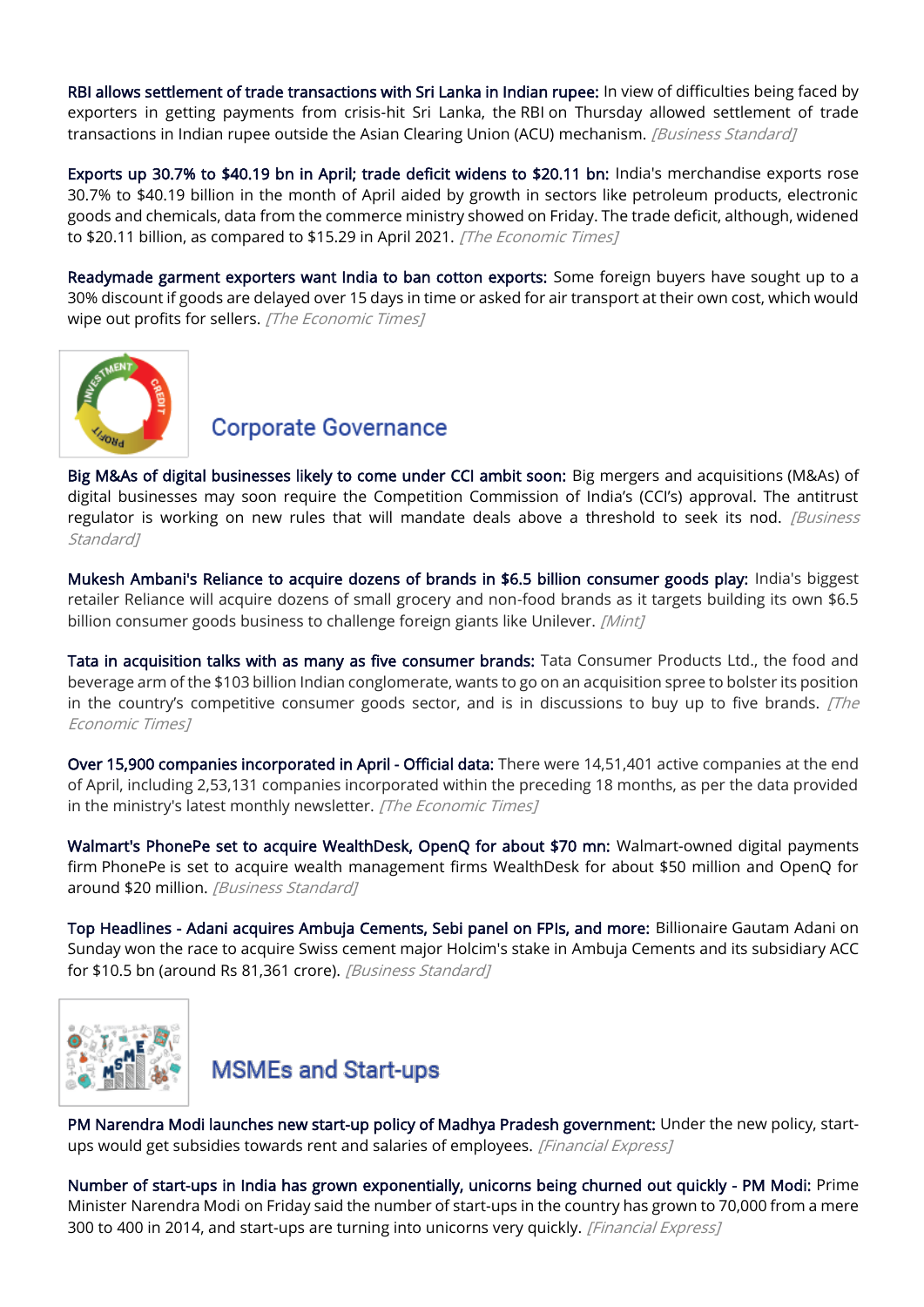[RBI allows settlement of trade transactions with Sri Lanka in Indian rupee:](https://www.business-standard.com/article/pti-stories/rbi-allows-settlement-of-trade-transactions-with-sri-lanka-in-inr-122051901275_1.html) In view of difficulties being faced by exporters in getting payments from crisis-hit Sri Lanka, the RBI on Thursday allowed settlement of trade transactions in Indian rupee outside the Asian Clearing Union (ACU) mechanism. *[Business Standard]* 

[Exports up 30.7% to \\$40.19 bn in April; trade deficit widens to \\$20.11 bn:](https://economictimes.indiatimes.com/news/economy/foreign-trade/exports-up-30-7-to-40-19-bn-in-april-trade-deficit-widens-to-20-11-bn/articleshow/91538787.cms) India's merchandise exports rose 30.7% to \$40.19 billion in the month of April aided by growth in sectors like petroleum products, electronic goods and chemicals, data from the commerce ministry showed on Friday. The trade deficit, although, widened to \$20.11 billion, as compared to \$15.29 in April 2021. [The Economic Times]

[Readymade garment exporters want India to ban cotton exports:](https://economictimes.indiatimes.com/news/economy/foreign-trade/readymade-garment-exporters-want-india-to-ban-cotton-exports/articleshow/91591316.cms) Some foreign buyers have sought up to a 30% discount if goods are delayed over 15 days in time or asked for air transport at their own cost, which would wipe out profits for sellers. [The Economic Times]



## **Corporate Governance**

[Big M&As of digital businesses likely to come under CCI ambit soon:](https://www.business-standard.com/article/economy-policy/big-m-as-of-digital-businesses-likely-to-come-under-cci-ambit-soon-122051601475_1.html) Big mergers and acquisitions (M&As) of digital businesses may soon require the Competition Commission of India's (CCI's) approval. The antitrust regulator is working on new rules that will mandate deals above a threshold to seek its nod. *[Business* Standard<sub>1</sub>

[Mukesh Ambani's Reliance to acquire dozens of brands in \\$6.5 billion consumer goods play:](https://www.livemint.com/companies/news/mukesh-ambani-s-reliance-to-acquire-dozens-of-brands-in-6-5-billion-consumer-goods-play-report-11652601941958.html) India's biggest retailer Reliance will acquire dozens of small grocery and non-food brands as it targets building its own \$6.5 billion consumer goods business to challenge foreign giants like Unilever. [Mint]

[Tata in acquisition talks with as many as five consumer brands:](https://economictimes.indiatimes.com/industry/cons-products/fmcg/tata-in-acquisition-talks-with-as-many-as-five-consumer-brands/articleshow/91628883.cms) Tata Consumer Products Ltd., the food and beverage arm of the \$103 billion Indian conglomerate, wants to go on an acquisition spree to bolster its position in the country's competitive consumer goods sector, and is in discussions to buy up to five brands.  $[The$ Economic Times]

[Over 15,900 companies incorporated in April - Official data:](https://economictimes.indiatimes.com/news/economy/indicators/over-15900-companies-incorporated-in-april-official-data/articleshow/91626130.cms) There were 14,51,401 active companies at the end of April, including 2,53,131 companies incorporated within the preceding 18 months, as per the data provided in the ministry's latest monthly newsletter. [The Economic Times]

[Walmart's PhonePe set to acquire WealthDesk, OpenQ for about \\$70 mn:](https://www.business-standard.com/article/companies/walmart-s-phonepe-set-to-acquire-wealthdesk-openq-for-about-70-mn-122051800602_1.html) Walmart-owned digital payments firm PhonePe is set to acquire wealth management firms WealthDesk for about \$50 million and OpenQ for around \$20 million. [Business Standard]

[Top Headlines - Adani acquires Ambuja Cements, Sebi panel on FPIs, and more:](https://www.business-standard.com/article/current-affairs/top-headlines-adani-acquires-ambuja-cements-sebi-s-panel-on-fpis-122051600110_1.html) Billionaire Gautam Adani on Sunday won the race to acquire Swiss cement major Holcim's stake in Ambuja Cements and its subsidiary ACC for \$10.5 bn (around Rs 81,361 crore). [Business Standard]



#### **MSMEs and Start-ups**

[PM Narendra Modi launches new start-up policy of Madhya Pradesh government:](https://economictimes.indiatimes.com/news/economy/policy/pm-narendra-modi-launches-new-start-up-policy-of-madhya-pradesh-government/articleshow/91547235.cms) Under the new policy, startups would get subsidies towards rent and salaries of employees. [Financial Express]

[Number of start-ups in India has grown exponentially, unicorns being churned out quickly - PM Modi:](https://www.financialexpress.com/industry/number-of-start-ups-in-india-has-grown-exponentially-unicorns-being-churned-out-quickly-pm-modi/2524150/) Prime Minister Narendra Modi on Friday said the number of start-ups in the country has grown to 70,000 from a mere 300 to 400 in 2014, and start-ups are turning into unicorns very quickly. [Financial Express]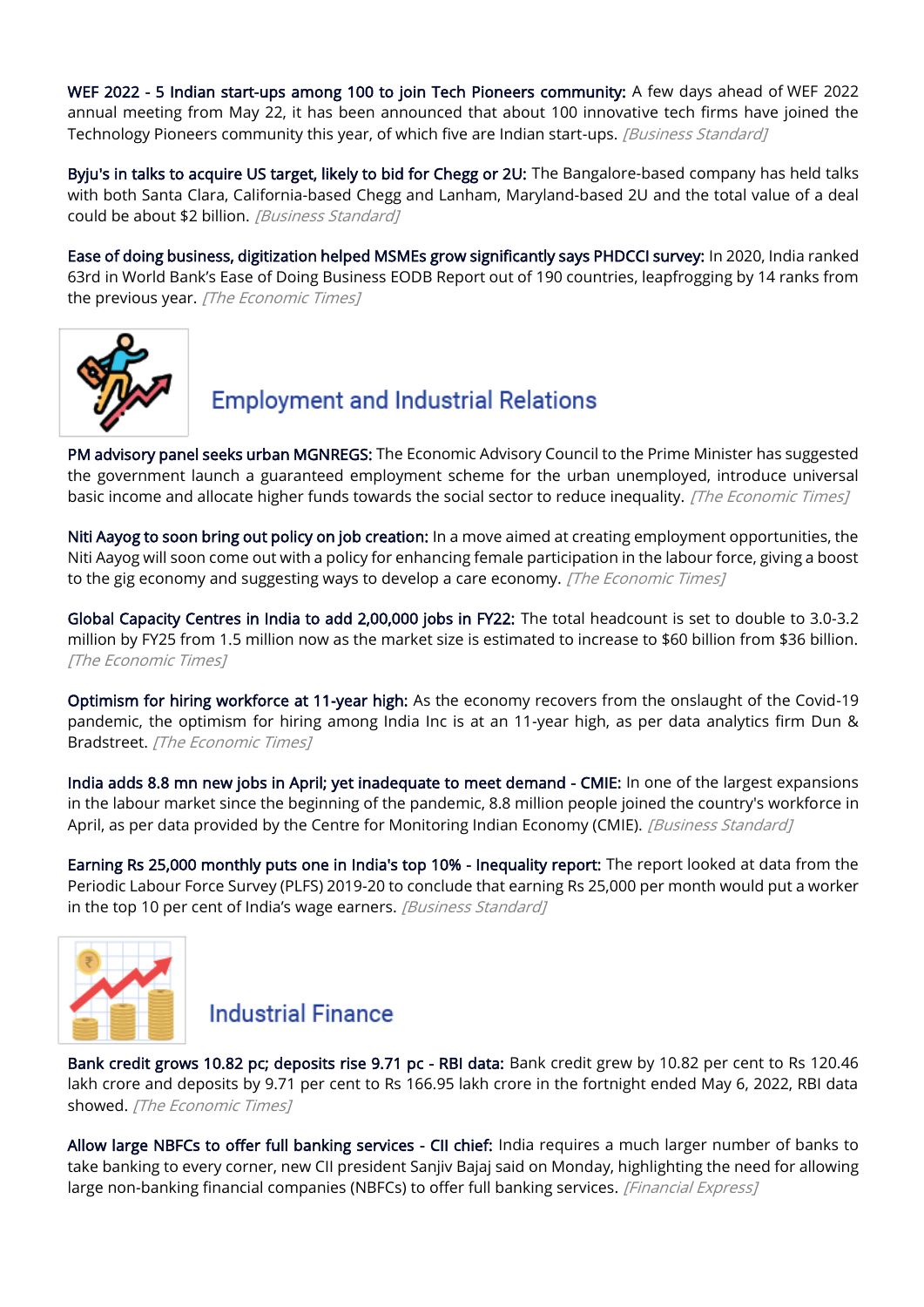[WEF 2022 - 5 Indian start-ups among 100 to join Tech Pioneers community:](https://www.business-standard.com/article/economy-policy/wef-2022-5-indian-start-ups-among-100-to-join-tech-pioneers-community-122051600470_1.html) A few days ahead of WEF 2022 annual meeting from May 22, it has been announced that about 100 innovative tech firms have joined the Technology Pioneers community this year, of which five are Indian start-ups. [Business Standard]

[Byju's in talks to acquire US target, likely to bid for Chegg or 2U:](https://www.business-standard.com/article/companies/byju-s-in-talks-to-acquire-us-target-likely-to-bid-for-chegg-or-2u-122051700167_1.html) The Bangalore-based company has held talks with both Santa Clara, California-based Chegg and Lanham, Maryland-based 2U and the total value of a deal could be about \$2 billion. [Business Standard]

[Ease of doing business, digitization helped MSMEs grow significantly says PHDCCI survey:](https://economictimes.indiatimes.com/small-biz/sme-sector/ease-of-doing-business-digitization-helped-msmes-grow-significantly-says-phdcci-survey/articleshow/91661428.cms) In 2020, India ranked 63rd in World Bank's Ease of Doing Business EODB Report out of 190 countries, leapfrogging by 14 ranks from the previous year. [The Economic Times]



# **Employment and Industrial Relations**

[PM advisory panel seeks urban MGNREGS:](https://economictimes.indiatimes.com/news/economy/policy/pm-advisory-panel-seeks-urban-mgnregs/articleshow/91649470.cms) The Economic Advisory Council to the Prime Minister has suggested the government launch a guaranteed employment scheme for the urban unemployed, introduce universal basic income and allocate higher funds towards the social sector to reduce inequality. [The Economic Times]

[Niti Aayog to soon bring out policy on job creation:](https://economictimes.indiatimes.com/news/economy/policy/niti-aayog-to-soon-bring-out-policy-on-job-creation/articleshow/91582528.cms) In a move aimed at creating employment opportunities, the Niti Aayog will soon come out with a policy for enhancing female participation in the labour force, giving a boost to the gig economy and suggesting ways to develop a care economy. [The Economic Times]

[Global Capacity Centres in India to add 2,00,000 jobs in FY22:](https://economictimes.indiatimes.com/jobs/global-capacity-centres-in-india-to-add-200000-jobs-in-fy22/articleshow/91609779.cms) The total headcount is set to double to 3.0-3.2 million by FY25 from 1.5 million now as the market size is estimated to increase to \$60 billion from \$36 billion. [The Economic Times]

[Optimism for hiring workforce at 11-year high:](https://economictimes.indiatimes.com/jobs/optimism-for-hiring-workforce-at-11-year-high-report/articleshow/91542465.cms) As the economy recovers from the onslaught of the Covid-19 pandemic, the optimism for hiring among India Inc is at an 11-year high, as per data analytics firm Dun & Bradstreet. [The Economic Times]

[India adds 8.8 mn new jobs in April; yet inadequate to meet demand - CMIE:](https://www.business-standard.com/article/companies/india-adds-8-8-mn-new-jobs-in-april-yet-inadequate-to-meet-demand-cmie-122051500271_1.html) In one of the largest expansions in the labour market since the beginning of the pandemic, 8.8 million people joined the country's workforce in April, as per data provided by the Centre for Monitoring Indian Economy (CMIE). [Business Standard]

[Earning Rs 25,000 monthly puts one in India's top 10% - Inequality report:](https://www.business-standard.com/article/economy-policy/earning-rs-25-000-monthly-puts-one-in-india-s-top-10-inequality-report-122051901283_1.html) The report looked at data from the Periodic Labour Force Survey (PLFS) 2019-20 to conclude that earning Rs 25,000 per month would put a worker in the top 10 per cent of India's wage earners. [Business Standard]



#### **Industrial Finance**

[Bank credit grows 10.82 pc; deposits rise 9.71 pc - RBI data:](https://economictimes.indiatimes.com/industry/banking/finance/banking/bank-credit-grows-10-82-pc-deposits-rise-9-71-pc-rbi-data/articleshow/91672310.cms) Bank credit grew by 10.82 per cent to Rs 120.46 lakh crore and deposits by 9.71 per cent to Rs 166.95 lakh crore in the fortnight ended May 6, 2022, RBI data showed. [The Economic Times]

[Allow large NBFCs to offer full banking services - CII chief:](https://www.financialexpress.com/industry/banking-finance/allow-large-nbfcs-to-offer-full-banking-services-cii-chief/2527115/) India requires a much larger number of banks to take banking to every corner, new CII president Sanjiv Bajaj said on Monday, highlighting the need for allowing large non-banking financial companies (NBFCs) to offer full banking services. [Financial Express]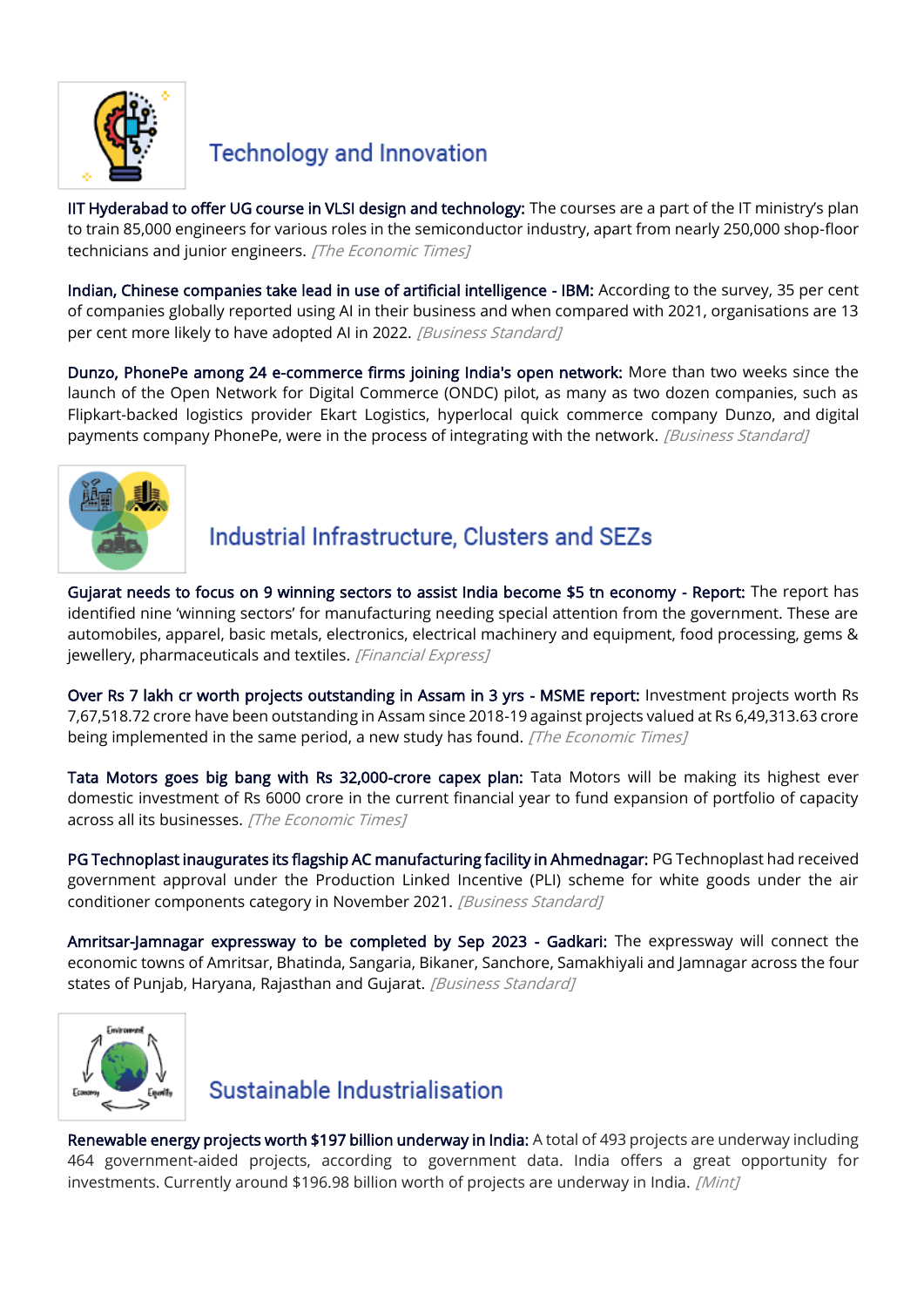

# **Technology and Innovation**

[IIT Hyderabad to offer UG course in VLSI design and technology:](https://economictimes.indiatimes.com/industry/services/education/iit-hyderabad-to-offer-ug-course-in-vlsi-design-and-technology/articleshow/91595520.cms) The courses are a part of the IT ministry's plan to train 85,000 engineers for various roles in the semiconductor industry, apart from nearly 250,000 shop-floor technicians and junior engineers. [The Economic Times]

[Indian, Chinese companies take lead in use of artificial intelligence - IBM:](https://www.business-standard.com/article/companies/indian-chinese-companies-take-lead-in-use-of-artificial-intelligence-ibm-122051901615_1.html) According to the survey, 35 per cent of companies globally reported using AI in their business and when compared with 2021, organisations are 13 per cent more likely to have adopted AI in 2022. [Business Standard]

[Dunzo, PhonePe among 24 e-commerce firms joining India's open network:](https://www.business-standard.com/article/economy-policy/dunzo-phonepe-among-24-e-commerce-firms-joining-india-s-open-network-122051500813_1.html) More than two weeks since the launch of the Open Network for Digital Commerce (ONDC) pilot, as many as two dozen companies, such as Flipkart-backed logistics provider Ekart Logistics, hyperlocal quick commerce company Dunzo, and digital payments company PhonePe, were in the process of integrating with the network. [Business Standard]



# Industrial Infrastructure, Clusters and SEZs

[Gujarat needs to focus on 9 winning sectors to assist India become \\$5 tn economy - Report:](https://www.financialexpress.com/economy/gujarat-needs-to-focus-on-9-winning-sectors-to-assist-india-become-5-tn-economy-report/2526805/) The report has identified nine 'winning sectors' for manufacturing needing special attention from the government. These are automobiles, apparel, basic metals, electronics, electrical machinery and equipment, food processing, gems & jewellery, pharmaceuticals and textiles. [Financial Express]

[Over Rs 7 lakh cr worth projects outstanding in Assam in 3 yrs - MSME report:](https://economictimes.indiatimes.com/small-biz/sme-sector/over-rs-7-lakh-cr-worth-projects-outstanding-in-assam-in-3-yrs-msme-report/articleshow/91653985.cms) Investment projects worth Rs 7,67,518.72 crore have been outstanding in Assam since 2018-19 against projects valued at Rs 6,49,313.63 crore being implemented in the same period, a new study has found. [The Economic Times]

[Tata Motors goes big bang with Rs 32,000-crore capex plan:](https://economictimes.indiatimes.com/industry/auto/auto-news/tata-motors-goes-big-bang-with-rs-32000-crore-capex-plan/articleshow/91550662.cms) Tata Motors will be making its highest ever domestic investment of Rs 6000 crore in the current financial year to fund expansion of portfolio of capacity across all its businesses. [The Economic Times]

[PG Technoplast inaugurates its flagship AC manufacturing facility in Ahmednagar:](https://www.business-standard.com/article/news-cm/pg-technoplast-inaugurates-its-flagship-ac-manufacturing-facility-in-ahmednagar-122051700818_1.html) PG Technoplast had received government approval under the Production Linked Incentive (PLI) scheme for white goods under the air conditioner components category in November 2021. [Business Standard]

[Amritsar-Jamnagar expressway to be completed by Sep 2023 - Gadkari:](https://www.business-standard.com/article/economy-policy/amritsar-jamnagar-expressway-to-be-completed-by-sep-2023-gadkari-122051901396_1.html) The expressway will connect the economic towns of Amritsar, Bhatinda, Sangaria, Bikaner, Sanchore, Samakhiyali and Jamnagar across the four states of Punjab, Haryana, Rajasthan and Gujarat. [Business Standard]



## Sustainable Industrialisation

[Renewable energy projects worth \\$197 billion underway in India:](https://www.livemint.com/news/india/renewable-energy-projects-worth-197-billion-underway-in-india-11652450802553.html) A total of 493 projects are underway including 464 government-aided projects, according to government data. India offers a great opportunity for investments. Currently around \$196.98 billion worth of projects are underway in India. [Mint]